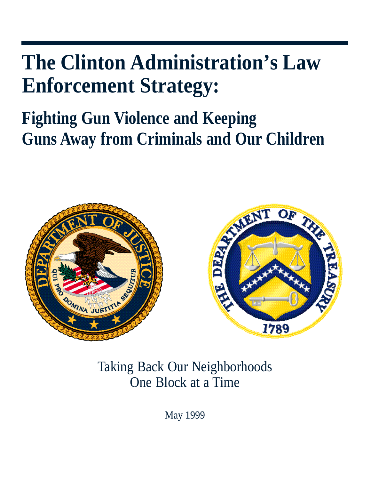# **The Clinton Administration's Law Enforcement Strategy:**

# **Fighting Gun Violence and Keeping Guns Away from Criminals and Our Children**



Taking Back Our Neighborhoods One Block at a Time

May 1999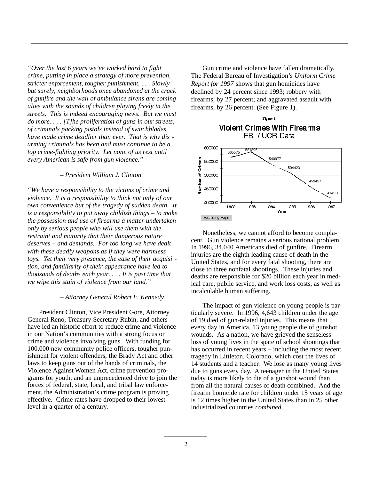*"Over the last 6 years we've worked hard to fight crime, putting in place a strategy of more prevention, stricter enforcement, tougher punishment. . . . Slowly but surely, neighborhoods once abandoned at the crack of gunfire and the wail of ambulance sirens are coming alive with the sounds of children playing freely in the streets. This is indeed encouraging news. But we must do more. . . . [T]he proliferation of guns in our streets, of criminals packing pistols instead of switchblades, have made crime deadlier than ever. That is why dis arming criminals has been and must continue to be a top crime-fighting priority. Let none of us rest until every American is safe from gun violence."*

#### *– President William J. Clinton*

*"We have a responsibility to the victims of crime and violence. It is a responsibility to think not only of our own convenience but of the tragedy of sudden death. It is a responsibility to put away childish things – to make the possession and use of firearms a matter undertaken only by serious people who will use them with the restraint and maturity that their dangerous nature deserves – and demands. For too long we have dealt with these deadly weapons as if they were harmless toys. Yet their very presence, the ease of their acquisi tion, and familiarity of their appearance have led to thousands of deaths each year. . . . It is past time that we wipe this stain of violence from our land."*

#### *– Attorney General Robert F. Kennedy*

President Clinton, Vice President Gore, Attorney General Reno, Treasury Secretary Rubin, and others have led an historic effort to reduce crime and violence in our Nation's communities with a strong focus on crime and violence involving guns. With funding for 100,000 new community police officers, tougher punishment for violent offenders, the Brady Act and other laws to keep guns out of the hands of criminals, the Violence Against Women Act, crime prevention programs for youth, and an unprecedented drive to join the forces of federal, state, local, and tribal law enforcement, the Administration's crime program is proving effective. Crime rates have dropped to their lowest level in a quarter of a century.

Gun crime and violence have fallen dramatically. The Federal Bureau of Investigation's *Uniform Crime Report for 1997* shows that gun homicides have declined by 24 percent since 1993; robbery with firearms, by 27 percent; and aggravated assault with firearms, by 26 percent. (See Figure 1).

# Figure 1 **Violent Crimes With Firearms** FBI / UCR Data



Nonetheless, we cannot afford to become complacent. Gun violence remains a serious national problem. In 1996, 34,040 Americans died of gunfire. Firearm injuries are the eighth leading cause of death in the United States, and for every fatal shooting, there are close to three nonfatal shootings. These injuries and deaths are responsible for \$20 billion each year in medical care, public service, and work loss costs, as well as incalculable human suffering.

The impact of gun violence on young people is particularly severe. In 1996, 4,643 children under the age of 19 died of gun-related injuries. This means that every day in America, 13 young people die of gunshot wounds. As a nation, we have grieved the senseless loss of young lives in the spate of school shootings that has occurred in recent years – including the most recent tragedy in Littleton, Colorado, which cost the lives of 14 students and a teacher. We lose as many young lives due to guns every day. A teenager in the United States today is more likely to die of a gunshot wound than from all the natural causes of death combined. And the firearm homicide rate for children under 15 years of age is 12 times higher in the United States than in 25 other industrialized countries *combined*.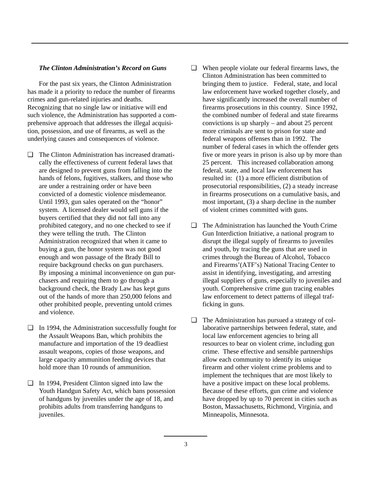#### *The Clinton Administration's Record on Guns*

For the past six years, the Clinton Administration has made it a priority to reduce the number of firearms crimes and gun-related injuries and deaths. Recognizing that no single law or initiative will end such violence, the Administration has supported a comprehensive approach that addresses the illegal acquisition, possession, and use of firearms, as well as the underlying causes and consequences of violence.

- ❏ The Clinton Administration has increased dramatically the effectiveness of current federal laws that are designed to prevent guns from falling into the hands of felons, fugitives, stalkers, and those who are under a restraining order or have been convicted of a domestic violence misdemeanor. Until 1993, gun sales operated on the "honor" system. A licensed dealer would sell guns if the buyers certified that they did not fall into any prohibited category, and no one checked to see if they were telling the truth. The Clinton Administration recognized that when it came to buying a gun, the honor system was not good enough and won passage of the Brady Bill to require background checks on gun purchasers. By imposing a minimal inconvenience on gun purchasers and requiring them to go through a background check, the Brady Law has kept guns out of the hands of more than 250,000 felons and other prohibited people, preventing untold crimes and violence.
- ❏ In 1994, the Administration successfully fought for the Assault Weapons Ban, which prohibits the manufacture and importation of the 19 deadliest assault weapons, copies of those weapons, and large capacity ammunition feeding devices that hold more than 10 rounds of ammunition.
- ❏ In 1994, President Clinton signed into law the Youth Handgun Safety Act, which bans possession of handguns by juveniles under the age of 18, and prohibits adults from transferring handguns to iuveniles.
- ❏ When people violate our federal firearms laws, the Clinton Administration has been committed to bringing them to justice. Federal, state, and local law enforcement have worked together closely, and have significantly increased the overall number of firearms prosecutions in this country. Since 1992, the combined number of federal and state firearms convictions is up sharply – and about 25 percent more criminals are sent to prison for state and federal weapons offenses than in 1992. The number of federal cases in which the offender gets five or more years in prison is also up by more than 25 percent. This increased collaboration among federal, state, and local law enforcement has resulted in: (1) a more efficient distribution of prosecutorial responsibilities, (2) a steady increase in firearms prosecutions on a cumulative basis, and most important, (3) a sharp decline in the number of violent crimes committed with guns.
- ❏ The Administration has launched the Youth Crime Gun Interdiction Initiative, a national program to disrupt the illegal supply of firearms to juveniles and youth, by tracing the guns that are used in crimes through the Bureau of Alcohol, Tobacco and Firearms'(ATF's) National Tracing Center to assist in identifying, investigating, and arresting illegal suppliers of guns, especially to juveniles and youth. Comprehensive crime gun tracing enables law enforcement to detect patterns of illegal trafficking in guns.
- ❏ The Administration has pursued a strategy of collaborative partnerships between federal, state, and local law enforcement agencies to bring all resources to bear on violent crime, including gun crime. These effective and sensible partnerships allow each community to identify its unique firearm and other violent crime problems and to implement the techniques that are most likely to have a positive impact on these local problems. Because of these efforts, gun crime and violence have dropped by up to 70 percent in cities such as Boston, Massachusetts, Richmond, Virginia, and Minneapolis, Minnesota.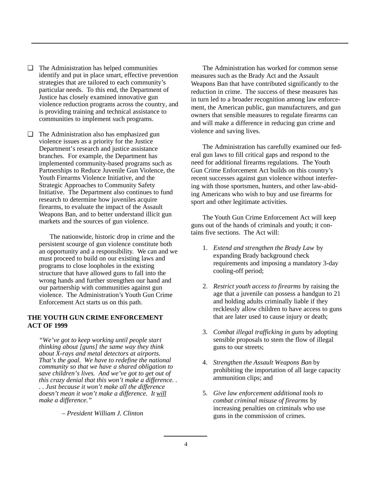- ❏ The Administration has helped communities identify and put in place smart, effective prevention strategies that are tailored to each community's particular needs. To this end, the Department of Justice has closely examined innovative gun violence reduction programs across the country, and is providing training and technical assistance to communities to implement such programs.
- ❏ The Administration also has emphasized gun violence issues as a priority for the Justice Department's research and justice assistance branches. For example, the Department has implemented community-based programs such as Partnerships to Reduce Juvenile Gun Violence, the Youth Firearms Violence Initiative, and the Strategic Approaches to Community Safety Initiative. The Department also continues to fund research to determine how juveniles acquire firearms, to evaluate the impact of the Assault Weapons Ban, and to better understand illicit gun markets and the sources of gun violence.

The nationwide, historic drop in crime and the persistent scourge of gun violence constitute both an opportunity and a responsibility. We can and we must proceed to build on our existing laws and programs to close loopholes in the existing structure that have allowed guns to fall into the wrong hands and further strengthen our hand and our partnership with communities against gun violence. The Administration's Youth Gun Crime Enforcement Act starts us on this path.

# **THE YOUTH GUN CRIME ENFORCEMENT ACT OF 1999**

*"We've got to keep working until people start thinking about [guns] the same way they think about X-rays and metal detectors at airports. That's the goal. We have to redefine the national community so that we have a shared obligation to save children's lives. And we've got to get out of this crazy denial that this won't make a difference. . . . Just because it won't make all the difference doesn't mean it won't make a difference. It will make a difference."*

*– President William J. Clinton*

The Administration has worked for common sense measures such as the Brady Act and the Assault Weapons Ban that have contributed significantly to the reduction in crime. The success of these measures has in turn led to a broader recognition among law enforcement, the American public, gun manufacturers, and gun owners that sensible measures to regulate firearms can and will make a difference in reducing gun crime and violence and saving lives.

The Administration has carefully examined our federal gun laws to fill critical gaps and respond to the need for additional firearms regulations. The Youth Gun Crime Enforcement Act builds on this country's recent successes against gun violence without interfering with those sportsmen, hunters, and other law-abiding Americans who wish to buy and use firearms for sport and other legitimate activities.

The Youth Gun Crime Enforcement Act will keep guns out of the hands of criminals and youth; it contains five sections. The Act will:

- 1. *Extend and strengthen the Brady Law* by expanding Brady background check requirements and imposing a mandatory 3-day cooling-off period;
- 2. *Restrict youth access to firearms* by raising the age that a juvenile can possess a handgun to 21 and holding adults criminally liable if they recklessly allow children to have access to guns that are later used to cause injury or death;
- 3. *Combat illegal trafficking in guns* by adopting sensible proposals to stem the flow of illegal guns to our streets;
- 4. *Strengthen the Assault Weapons Ban* by prohibiting the importation of all large capacity ammunition clips; and
- 5. *Give law enforcement additional tools to combat criminal misuse of firearms* by increasing penalties on criminals who use guns in the commission of crimes.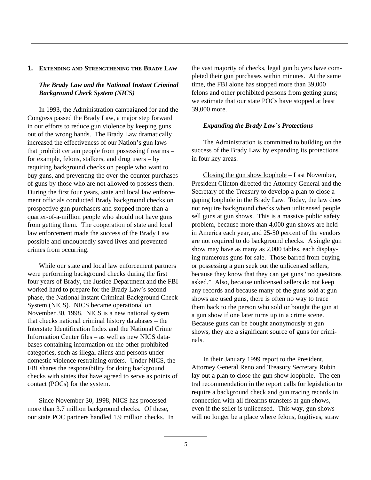#### **1. EXTENDING AND STRENGTHENING THE BRADY LAW**

# *The Brady Law and the National Instant Criminal Background Check System (NICS)*

In 1993, the Administration campaigned for and the Congress passed the Brady Law, a major step forward in our efforts to reduce gun violence by keeping guns out of the wrong hands. The Brady Law dramatically increased the effectiveness of our Nation's gun laws that prohibit certain people from possessing firearms – for example, felons, stalkers, and drug users – by requiring background checks on people who want to buy guns, and preventing the over-the-counter purchases of guns by those who are not allowed to possess them. During the first four years, state and local law enforcement officials conducted Brady background checks on prospective gun purchasers and stopped more than a quarter-of-a-million people who should not have guns from getting them. The cooperation of state and local law enforcement made the success of the Brady Law possible and undoubtedly saved lives and prevented crimes from occurring.

While our state and local law enforcement partners were performing background checks during the first four years of Brady, the Justice Department and the FBI worked hard to prepare for the Brady Law's second phase, the National Instant Criminal Background Check System (NICS). NICS became operational on November 30, 1998. NICS is a new national system that checks national criminal history databases – the Interstate Identification Index and the National Crime Information Center files – as well as new NICS databases containing information on the other prohibited categories, such as illegal aliens and persons under domestic violence restraining orders. Under NICS, the FBI shares the responsibility for doing background checks with states that have agreed to serve as points of contact (POCs) for the system.

Since November 30, 1998, NICS has processed more than 3.7 million background checks. Of these, our state POC partners handled 1.9 million checks. In the vast majority of checks, legal gun buyers have completed their gun purchases within minutes. At the same time, the FBI alone has stopped more than 39,000 felons and other prohibited persons from getting guns; we estimate that our state POCs have stopped at least 39,000 more.

#### *Expanding the Brady Law's Protections*

The Administration is committed to building on the success of the Brady Law by expanding its protections in four key areas.

Closing the gun show loophole – Last November, President Clinton directed the Attorney General and the Secretary of the Treasury to develop a plan to close a gaping loophole in the Brady Law. Today, the law does not require background checks when unlicensed people sell guns at gun shows. This is a massive public safety problem, because more than 4,000 gun shows are held in America each year, and 25-50 percent of the vendors are not required to do background checks. A single gun show may have as many as 2,000 tables, each displaying numerous guns for sale. Those barred from buying or possessing a gun seek out the unlicensed sellers, because they know that they can get guns "no questions asked." Also, because unlicensed sellers do not keep any records and because many of the guns sold at gun shows are used guns, there is often no way to trace them back to the person who sold or bought the gun at a gun show if one later turns up in a crime scene. Because guns can be bought anonymously at gun shows, they are a significant source of guns for criminals.

In their January 1999 report to the President, Attorney General Reno and Treasury Secretary Rubin lay out a plan to close the gun show loophole. The central recommendation in the report calls for legislation to require a background check and gun tracing records in connection with all firearms transfers at gun shows, even if the seller is unlicensed. This way, gun shows will no longer be a place where felons, fugitives, straw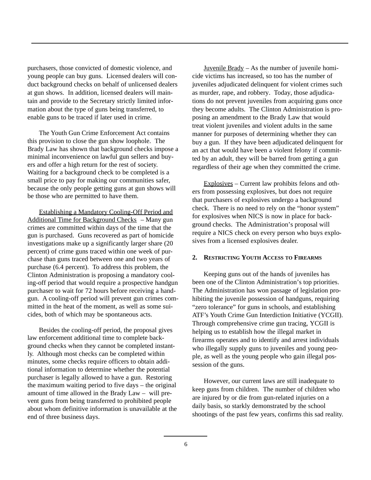purchasers, those convicted of domestic violence, and young people can buy guns. Licensed dealers will conduct background checks on behalf of unlicensed dealers at gun shows. In addition, licensed dealers will maintain and provide to the Secretary strictly limited information about the type of guns being transferred, to enable guns to be traced if later used in crime.

The Youth Gun Crime Enforcement Act contains this provision to close the gun show loophole. The Brady Law has shown that background checks impose a minimal inconvenience on lawful gun sellers and buyers and offer a high return for the rest of society. Waiting for a background check to be completed is a small price to pay for making our communities safer, because the only people getting guns at gun shows will be those who are permitted to have them.

Establishing a Mandatory Cooling-Off Period and Additional Time for Background Checks – Many gun crimes are committed within days of the time that the gun is purchased. Guns recovered as part of homicide investigations make up a significantly larger share (20 percent) of crime guns traced within one week of purchase than guns traced between one and two years of purchase (6.4 percent). To address this problem, the Clinton Administration is proposing a mandatory cooling-off period that would require a prospective handgun purchaser to wait for 72 hours before receiving a handgun. A cooling-off period will prevent gun crimes committed in the heat of the moment, as well as some suicides, both of which may be spontaneous acts.

Besides the cooling-off period, the proposal gives law enforcement additional time to complete background checks when they cannot be completed instantly. Although most checks can be completed within minutes, some checks require officers to obtain additional information to determine whether the potential purchaser is legally allowed to have a gun. Restoring the maximum waiting period to five days – the original amount of time allowed in the Brady Law – will prevent guns from being transferred to prohibited people about whom definitive information is unavailable at the end of three business days.

Juvenile Brady  $-$  As the number of juvenile homicide victims has increased, so too has the number of juveniles adjudicated delinquent for violent crimes such as murder, rape, and robbery. Today, those adjudications do not prevent juveniles from acquiring guns once they become adults. The Clinton Administration is proposing an amendment to the Brady Law that would treat violent juveniles and violent adults in the same manner for purposes of determining whether they can buy a gun. If they have been adjudicated delinquent for an act that would have been a violent felony if committed by an adult, they will be barred from getting a gun regardless of their age when they committed the crime.

Explosives – Current law prohibits felons and others from possessing explosives, but does not require that purchasers of explosives undergo a background check. There is no need to rely on the "honor system" for explosives when NICS is now in place for background checks. The Administration's proposal will require a NICS check on every person who buys explosives from a licensed explosives dealer.

#### **2. RESTRICTING YOUTH ACCESS TO FIREARMS**

Keeping guns out of the hands of juveniles has been one of the Clinton Administration's top priorities. The Administration has won passage of legislation prohibiting the juvenile possession of handguns, requiring "zero tolerance" for guns in schools, and establishing ATF's Youth Crime Gun Interdiction Initiative (YCGII). Through comprehensive crime gun tracing, YCGII is helping us to establish how the illegal market in firearms operates and to identify and arrest individuals who illegally supply guns to juveniles and young people, as well as the young people who gain illegal possession of the guns.

However, our current laws are still inadequate to keep guns from children. The number of children who are injured by or die from gun-related injuries on a daily basis, so starkly demonstrated by the school shootings of the past few years, confirms this sad reality.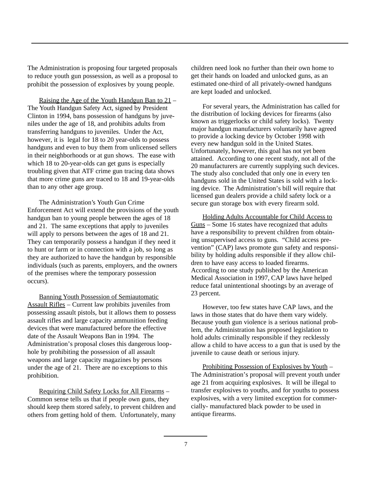The Administration is proposing four targeted proposals to reduce youth gun possession, as well as a proposal to prohibit the possession of explosives by young people.

Raising the Age of the Youth Handgun Ban to 21 – The Youth Handgun Safety Act, signed by President Clinton in 1994, bans possession of handguns by juveniles under the age of 18, and prohibits adults from transferring handguns to juveniles. Under the Act, however, it is legal for 18 to 20 year-olds to possess handguns and even to buy them from unlicensed sellers in their neighborhoods or at gun shows. The ease with which 18 to 20-year-olds can get guns is especially troubling given that ATF crime gun tracing data shows that more crime guns are traced to 18 and 19-year-olds than to any other age group.

The Administration's Youth Gun Crime Enforcement Act will extend the provisions of the youth handgun ban to young people between the ages of 18 and 21. The same exceptions that apply to juveniles will apply to persons between the ages of 18 and 21. They can temporarily possess a handgun if they need it to hunt or farm or in connection with a job, so long as they are authorized to have the handgun by responsible individuals (such as parents, employers, and the owners of the premises where the temporary possession occurs).

Banning Youth Possession of Semiautomatic Assault Rifles – Current law prohibits juveniles from possessing assault pistols, but it allows them to possess assault rifles and large capacity ammunition feeding devices that were manufactured before the effective date of the Assault Weapons Ban in 1994. The Administration's proposal closes this dangerous loophole by prohibiting the possession of all assault weapons and large capacity magazines by persons under the age of 21. There are no exceptions to this prohibition.

Requiring Child Safety Locks for All Firearms – Common sense tells us that if people own guns, they should keep them stored safely, to prevent children and others from getting hold of them. Unfortunately, many children need look no further than their own home to get their hands on loaded and unlocked guns, as an estimated one-third of all privately-owned handguns are kept loaded and unlocked.

For several years, the Administration has called for the distribution of locking devices for firearms (also known as triggerlocks or child safety locks). Twenty major handgun manufacturers voluntarily have agreed to provide a locking device by October 1998 with every new handgun sold in the United States. Unfortunately, however, this goal has not yet been attained. According to one recent study, not all of the 20 manufacturers are currently supplying such devices. The study also concluded that only one in every ten handguns sold in the United States is sold with a locking device. The Administration's bill will require that licensed gun dealers provide a child safety lock or a secure gun storage box with every firearm sold.

Holding Adults Accountable for Child Access to Guns – Some 16 states have recognized that adults have a responsibility to prevent children from obtaining unsupervised access to guns. "Child access prevention" (CAP) laws promote gun safety and responsibility by holding adults responsible if they allow children to have easy access to loaded firearms. According to one study published by the American Medical Association in 1997, CAP laws have helped reduce fatal unintentional shootings by an average of 23 percent.

However, too few states have CAP laws, and the laws in those states that do have them vary widely. Because youth gun violence is a serious national problem, the Administration has proposed legislation to hold adults criminally responsible if they recklessly allow a child to have access to a gun that is used by the juvenile to cause death or serious injury.

Prohibiting Possession of Explosives by Youth – The Administration's proposal will prevent youth under age 21 from acquiring explosives. It will be illegal to transfer explosives to youths, and for youths to possess explosives, with a very limited exception for commercially- manufactured black powder to be used in antique firearms.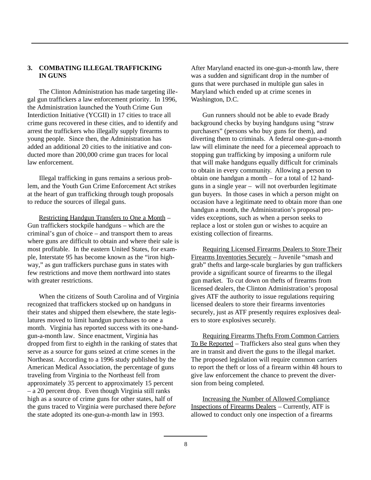# **3. COMBATING ILLEGALTRAFFICKING IN GUNS**

The Clinton Administration has made targeting illegal gun traffickers a law enforcement priority. In 1996, the Administration launched the Youth Crime Gun Interdiction Initiative (YCGII) in 17 cities to trace all crime guns recovered in these cities, and to identify and arrest the traffickers who illegally supply firearms to young people. Since then, the Administration has added an additional 20 cities to the initiative and conducted more than 200,000 crime gun traces for local law enforcement.

Illegal trafficking in guns remains a serious problem, and the Youth Gun Crime Enforcement Act strikes at the heart of gun trafficking through tough proposals to reduce the sources of illegal guns.

Restricting Handgun Transfers to One a Month – Gun traffickers stockpile handguns – which are the criminal's gun of choice – and transport them to areas where guns are difficult to obtain and where their sale is most profitable. In the eastern United States, for example, Interstate 95 has become known as the "iron highway," as gun traffickers purchase guns in states with few restrictions and move them northward into states with greater restrictions.

When the citizens of South Carolina and of Virginia recognized that traffickers stocked up on handguns in their states and shipped them elsewhere, the state legislatures moved to limit handgun purchases to one a month. Virginia has reported success with its one-handgun-a-month law. Since enactment, Virginia has dropped from first to eighth in the ranking of states that serve as a source for guns seized at crime scenes in the Northeast. According to a 1996 study published by the American Medical Association, the percentage of guns traveling from Virginia to the Northeast fell from approximately 35 percent to approximately 15 percent – a 20 percent drop. Even though Virginia still ranks high as a source of crime guns for other states, half of the guns traced to Virginia were purchased there *before* the state adopted its one-gun-a-month law in 1993.

After Maryland enacted its one-gun-a-month law, there was a sudden and significant drop in the number of guns that were purchased in multiple gun sales in Maryland which ended up at crime scenes in Washington, D.C.

Gun runners should not be able to evade Brady background checks by buying handguns using "straw purchasers" (persons who buy guns for them), and diverting them to criminals. A federal one-gun-a-month law will eliminate the need for a piecemeal approach to stopping gun trafficking by imposing a uniform rule that will make handguns equally difficult for criminals to obtain in every community. Allowing a person to obtain one handgun a month – for a total of 12 handguns in a single year – will not overburden legitimate gun buyers. In those cases in which a person might on occasion have a legitimate need to obtain more than one handgun a month, the Administration's proposal provides exceptions, such as when a person seeks to replace a lost or stolen gun or wishes to acquire an existing collection of firearms.

Requiring Licensed Firearms Dealers to Store Their Firearms Inventories Securely – Juvenile "smash and grab" thefts and large-scale burglaries by gun traffickers provide a significant source of firearms to the illegal gun market. To cut down on thefts of firearms from licensed dealers, the Clinton Administration's proposal gives ATF the authority to issue regulations requiring licensed dealers to store their firearms inventories securely, just as ATF presently requires explosives dealers to store explosives securely.

Requiring Firearms Thefts From Common Carriers To Be Reported – Traffickers also steal guns when they are in transit and divert the guns to the illegal market. The proposed legislation will require common carriers to report the theft or loss of a firearm within 48 hours to give law enforcement the chance to prevent the diversion from being completed.

Increasing the Number of Allowed Compliance Inspections of Firearms Dealers – Currently, ATF is allowed to conduct only one inspection of a firearms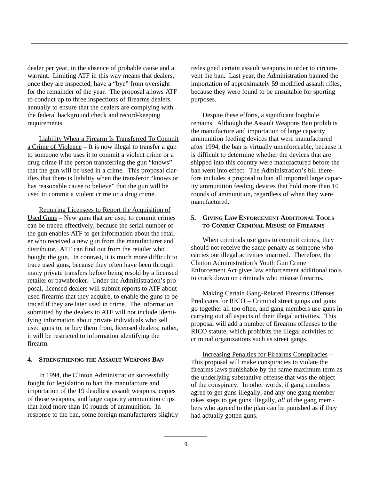dealer per year, in the absence of probable cause and a warrant. Limiting ATF in this way means that dealers, once they are inspected, have a "bye" from oversight for the remainder of the year. The proposal allows ATF to conduct up to three inspections of firearms dealers annually to ensure that the dealers are complying with the federal background check and record-keeping requirements.

Liability When a Firearm Is Transferred To Commit a Crime of Violence – It is now illegal to transfer a gun to someone who uses it to commit a violent crime or a drug crime if the person transferring the gun "knows" that the gun will be used in a crime. This proposal clarifies that there is liability when the transferor "knows or has reasonable cause to believe" that the gun will be used to commit a violent crime or a drug crime.

Requiring Licensees to Report the Acquisition of Used Guns – New guns that are used to commit crimes can be traced effectively, because the serial number of the gun enables ATF to get information about the retailer who received a new gun from the manufacturer and distributor. ATF can find out from the retailer who bought the gun. In contrast, it is much more difficult to trace used guns, because they often have been through many private transfers before being resold by a licensed retailer or pawnbroker. Under the Administration's proposal, licensed dealers will submit reports to ATF about used firearms that they acquire, to enable the guns to be traced if they are later used in crime. The information submitted by the dealers to ATF will not include identifying information about private individuals who sell used guns to, or buy them from, licensed dealers; rather, it will be restricted to information identifying the firearm.

## **4. STRENGTHENING THE ASSAULT WEAPONS BAN**

In 1994, the Clinton Administration successfully fought for legislation to ban the manufacture and importation of the 19 deadliest assault weapons, copies of those weapons, and large capacity ammunition clips that hold more than 10 rounds of ammunition. In response to the ban, some foreign manufacturers slightly redesigned certain assault weapons in order to circumvent the ban. Last year, the Administration banned the importation of approximately 59 modified assault rifles, because they were found to be unsuitable for sporting purposes.

Despite these efforts, a significant loophole remains. Although the Assault Weapons Ban prohibits the manufacture and importation of large capacity ammunition feeding devices that were manufactured after 1994, the ban is virtually unenforceable, because it is difficult to determine whether the devices that are shipped into this country were manufactured before the ban went into effect. The Administration's bill therefore includes a proposal to ban all imported large capacity ammunition feeding devices that hold more than 10 rounds of ammunition, regardless of when they were manufactured.

## **5. GIVING LAW ENFORCEMENT ADDITIONAL TOOLS TO COMBAT CRIMINAL MISUSE OF FIREARMS**

When criminals use guns to commit crimes, they should not receive the same penalty as someone who carries out illegal activities unarmed. Therefore, the Clinton Administration's Youth Gun Crime Enforcement Act gives law enforcement additional tools to crack down on criminals who misuse firearms.

Making Certain Gang-Related Firearms Offenses Predicates for RICO – Criminal street gangs and guns go together all too often, and gang members use guns in carrying out all aspects of their illegal activities. This proposal will add a number of firearms offenses to the RICO statute, which prohibits the illegal activities of criminal organizations such as street gangs.

Increasing Penalties for Firearms Conspiracies – This proposal will make conspiracies to violate the firearms laws punishable by the same maximum term as the underlying substantive offense that was the object of the conspiracy. In other words, if gang members agree to get guns illegally, and any one gang member takes steps to get guns illegally, *all* of the gang members who agreed to the plan can be punished as if they had actually gotten guns.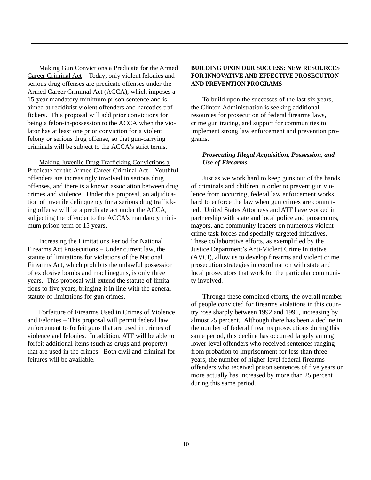Making Gun Convictions a Predicate for the Armed Career Criminal Act – Today, only violent felonies and serious drug offenses are predicate offenses under the Armed Career Criminal Act (ACCA), which imposes a 15-year mandatory minimum prison sentence and is aimed at recidivist violent offenders and narcotics traffickers. This proposal will add prior convictions for being a felon-in-possession to the ACCA when the violator has at least one prior conviction for a violent felony or serious drug offense, so that gun-carrying criminals will be subject to the ACCA's strict terms.

Making Juvenile Drug Trafficking Convictions a Predicate for the Armed Career Criminal Act – Youthful offenders are increasingly involved in serious drug offenses, and there is a known association between drug crimes and violence. Under this proposal, an adjudication of juvenile delinquency for a serious drug trafficking offense will be a predicate act under the ACCA, subjecting the offender to the ACCA's mandatory minimum prison term of 15 years.

Increasing the Limitations Period for National Firearms Act Prosecutions – Under current law, the statute of limitations for violations of the National Firearms Act, which prohibits the unlawful possession of explosive bombs and machineguns, is only three years. This proposal will extend the statute of limitations to five years, bringing it in line with the general statute of limitations for gun crimes.

Forfeiture of Firearms Used in Crimes of Violence and Felonies – This proposal will permit federal law enforcement to forfeit guns that are used in crimes of violence and felonies. In addition, ATF will be able to forfeit additional items (such as drugs and property) that are used in the crimes. Both civil and criminal forfeitures will be available.

# **BUILDING UPON OUR SUCCESS: NEW RESOURCES FOR INNOVATIVE AND EFFECTIVE PROSECUTION AND PREVENTION PROGRAMS**

To build upon the successes of the last six years, the Clinton Administration is seeking additional resources for prosecution of federal firearms laws, crime gun tracing, and support for communities to implement strong law enforcement and prevention programs.

# *Prosecuting Illegal Acquisition, Possession, and Use of Firearms*

Just as we work hard to keep guns out of the hands of criminals and children in order to prevent gun violence from occurring, federal law enforcement works hard to enforce the law when gun crimes are committed. United States Attorneys and ATF have worked in partnership with state and local police and prosecutors, mayors, and community leaders on numerous violent crime task forces and specially-targeted initiatives. These collaborative efforts, as exemplified by the Justice Department's Anti-Violent Crime Initiative (AVCI), allow us to develop firearms and violent crime prosecution strategies in coordination with state and local prosecutors that work for the particular community involved.

Through these combined efforts, the overall number of people convicted for firearms violations in this country rose sharply between 1992 and 1996, increasing by almost 25 percent. Although there has been a decline in the number of federal firearms prosecutions during this same period, this decline has occurred largely among lower-level offenders who received sentences ranging from probation to imprisonment for less than three years; the number of higher-level federal firearms offenders who received prison sentences of five years or more actually has increased by more than 25 percent during this same period.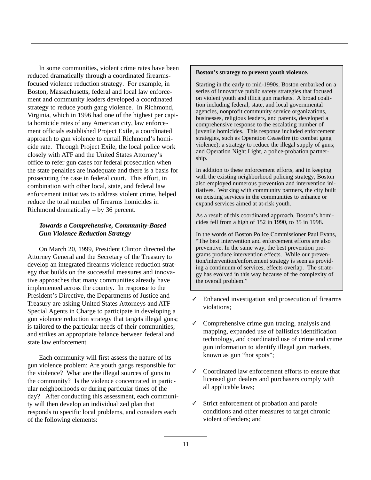In some communities, violent crime rates have been reduced dramatically through a coordinated firearmsfocused violence reduction strategy. For example, in Boston, Massachusetts, federal and local law enforcement and community leaders developed a coordinated strategy to reduce youth gang violence. In Richmond, Virginia, which in 1996 had one of the highest per capita homicide rates of any American city, law enforcement officials established Project Exile, a coordinated approach to gun violence to curtail Richmond's homicide rate. Through Project Exile, the local police work closely with ATF and the United States Attorney's office to refer gun cases for federal prosecution when the state penalties are inadequate and there is a basis for prosecuting the case in federal court. This effort, in combination with other local, state, and federal law enforcement initiatives to address violent crime, helped reduce the total number of firearms homicides in Richmond dramatically – by 36 percent.

# *Towards a Comprehensive, Community-Based Gun Violence Reduction Strategy*

On March 20, 1999, President Clinton directed the Attorney General and the Secretary of the Treasury to develop an integrated firearms violence reduction strategy that builds on the successful measures and innovative approaches that many communities already have implemented across the country. In response to the President's Directive, the Departments of Justice and Treasury are asking United States Attorneys and ATF Special Agents in Charge to participate in developing a gun violence reduction strategy that targets illegal guns; is tailored to the particular needs of their communities; and strikes an appropriate balance between federal and state law enforcement.

Each community will first assess the nature of its gun violence problem: Are youth gangs responsible for the violence? What are the illegal sources of guns to the community? Is the violence concentrated in particular neighborhoods or during particular times of the day? After conducting this assessment, each community will then develop an individualized plan that responds to specific local problems, and considers each of the following elements:

#### **Boston's strategy to prevent youth violence.**

Starting in the early to mid-1990s, Boston embarked on a series of innovative public safety strategies that focused on violent youth and illicit gun markets. A broad coalition including federal, state, and local governmental agencies, nonprofit community service organizations, businesses, religious leaders, and parents, developed a comprehensive response to the escalating number of juvenile homicides. This response included enforcement strategies, such as Operation Ceasefire (to combat gang violence); a strategy to reduce the illegal supply of guns; and Operation Night Light, a police-probation partnership.

In addition to these enforcement efforts, and in keeping with the existing neighborhood policing strategy, Boston also employed numerous prevention and intervention initiatives. Working with community partners, the city built on existing services in the communities to enhance or expand services aimed at at-risk youth.

As a result of this coordinated approach, Boston's homicides fell from a high of 152 in 1990, to 35 in 1998.

In the words of Boston Police Commissioner Paul Evans, "The best intervention and enforcement efforts are also preventive. In the same way, the best prevention programs produce intervention effects. While our prevention/intervention/enforcement strategy is seen as providing a continuum of services, effects overlap. The strategy has evolved in this way because of the complexity of the overall problem."

- ✓ Enhanced investigation and prosecution of firearms violations;
- ✓ Comprehensive crime gun tracing, analysis and mapping, expanded use of ballistics identification technology, and coordinated use of crime and crime gun information to identify illegal gun markets, known as gun "hot spots";
- ✓ Coordinated law enforcement efforts to ensure that licensed gun dealers and purchasers comply with all applicable laws;
- ✓ Strict enforcement of probation and parole conditions and other measures to target chronic violent offenders; and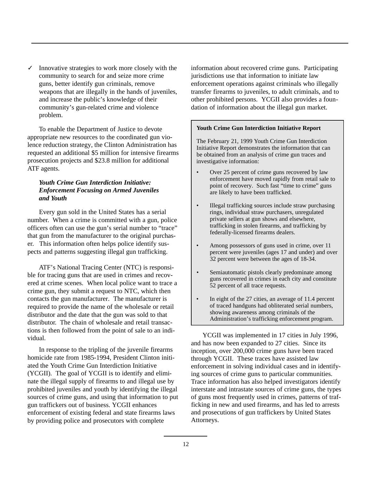$\checkmark$  Innovative strategies to work more closely with the community to search for and seize more crime guns, better identify gun criminals, remove weapons that are illegally in the hands of juveniles, and increase the public's knowledge of their community's gun-related crime and violence problem.

To enable the Department of Justice to devote appropriate new resources to the coordinated gun violence reduction strategy, the Clinton Administration has requested an additional \$5 million for intensive firearms prosecution projects and \$23.8 million for additional ATF agents.

# *Youth Crime Gun Interdiction Initiative: Enforcement Focusing on Armed Juveniles and Youth*

Every gun sold in the United States has a serial number. When a crime is committed with a gun, police officers often can use the gun's serial number to "trace" that gun from the manufacturer to the original purchaser. This information often helps police identify suspects and patterns suggesting illegal gun trafficking.

ATF's National Tracing Center (NTC) is responsible for tracing guns that are used in crimes and recovered at crime scenes. When local police want to trace a crime gun, they submit a request to NTC, which then contacts the gun manufacturer. The manufacturer is required to provide the name of the wholesale or retail distributor and the date that the gun was sold to that distributor. The chain of wholesale and retail transactions is then followed from the point of sale to an individual.

In response to the tripling of the juvenile firearms homicide rate from 1985-1994, President Clinton initiated the Youth Crime Gun Interdiction Initiative (YCGII). The goal of YCGII is to identify and eliminate the illegal supply of firearms to and illegal use by prohibited juveniles and youth by identifying the illegal sources of crime guns, and using that information to put gun traffickers out of business. YCGII enhances enforcement of existing federal and state firearms laws by providing police and prosecutors with complete

information about recovered crime guns. Participating jurisdictions use that information to initiate law enforcement operations against criminals who illegally transfer firearms to juveniles, to adult criminals, and to other prohibited persons. YCGII also provides a foundation of information about the illegal gun market.

#### **Youth Crime Gun Interdiction Initiative Report**

The February 21, 1999 Youth Crime Gun Interdiction Initiative Report demonstrates the information that can be obtained from an analysis of crime gun traces and investigative information:

- Over 25 percent of crime guns recovered by law enforcement have moved rapidly from retail sale to point of recovery. Such fast "time to crime" guns are likely to have been trafficked.
- Illegal trafficking sources include straw purchasing rings, individual straw purchasers, unregulated private sellers at gun shows and elsewhere, trafficking in stolen firearms, and trafficking by federally-licensed firearms dealers.
- Among possessors of guns used in crime, over 11 percent were juveniles (ages 17 and under) and over 32 percent were between the ages of 18-34.
- Semiautomatic pistols clearly predominate among guns recovered in crimes in each city and constitute 52 percent of all trace requests.
- In eight of the 27 cities, an average of 11.4 percent of traced handguns had obliterated serial numbers, showing awareness among criminals of the Administration's trafficking enforcement program.

YCGII was implemented in 17 cities in July 1996, and has now been expanded to 27 cities. Since its inception, over 200,000 crime guns have been traced through YCGII. These traces have assisted law enforcement in solving individual cases and in identifying sources of crime guns to particular communities. Trace information has also helped investigators identify interstate and intrastate sources of crime guns, the types of guns most frequently used in crimes, patterns of trafficking in new and used firearms, and has led to arrests and prosecutions of gun traffickers by United States Attorneys.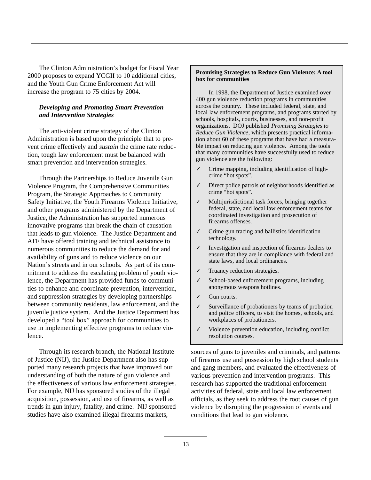The Clinton Administration's budget for Fiscal Year 2000 proposes to expand YCGII to 10 additional cities, and the Youth Gun Crime Enforcement Act will increase the program to 75 cities by 2004.

# *Developing and Promoting Smart Prevention and Intervention Strategies*

The anti-violent crime strategy of the Clinton Administration is based upon the principle that to prevent crime effectively and *sustain* the crime rate reduction, tough law enforcement must be balanced with smart prevention and intervention strategies.

Through the Partnerships to Reduce Juvenile Gun Violence Program, the Comprehensive Communities Program, the Strategic Approaches to Community Safety Initiative, the Youth Firearms Violence Initiative, and other programs administered by the Department of Justice, the Administration has supported numerous innovative programs that break the chain of causation that leads to gun violence. The Justice Department and ATF have offered training and technical assistance to numerous communities to reduce the demand for and availability of guns and to reduce violence on our Nation's streets and in our schools. As part of its commitment to address the escalating problem of youth violence, the Department has provided funds to communities to enhance and coordinate prevention, intervention, and suppression strategies by developing partnerships between community residents, law enforcement, and the juvenile justice system. And the Justice Department has developed a "tool box" approach for communities to use in implementing effective programs to reduce violence.

Through its research branch, the National Institute of Justice (NIJ), the Justice Department also has supported many research projects that have improved our understanding of both the nature of gun violence and the effectiveness of various law enforcement strategies. For example, NIJ has sponsored studies of the illegal acquisition, possession, and use of firearms, as well as trends in gun injury, fatality, and crime. NIJ sponsored studies have also examined illegal firearms markets,

#### **Promising Strategies to Reduce Gun Violence: A tool box for communities**

In 1998, the Department of Justice examined over 400 gun violence reduction programs in communities across the country. These included federal, state, and local law enforcement programs, and programs started by schools, hospitals, courts, businesses, and non-profit organizations. DOJ published *Promising Strategies to Reduce Gun Violence*, which presents practical information about 60 of these programs that have had a measurable impact on reducing gun violence. Among the tools that many communities have successfully used to reduce gun violence are the following:

- ✓ Crime mapping, including identification of highcrime "hot spots".
- ✓ Direct police patrols of neighborhoods identified as crime "hot spots".
- ✓ Multijurisdictional task forces, bringing together federal, state, and local law enforcement teams for coordinated investigation and prosecution of firearms offenses.
- ✓ Crime gun tracing and ballistics identification technology.
- ✓ Investigation and inspection of firearms dealers to ensure that they are in compliance with federal and state laws, and local ordinances.
- ✓ Truancy reduction strategies.
- School-based enforcement programs, including anonymous weapons hotlines.
- ✓ Gun courts.
- Surveillance of probationers by teams of probation and police officers, to visit the homes, schools, and workplaces of probationers.
- ✓ Violence prevention education, including conflict resolution courses.

sources of guns to juveniles and criminals, and patterns of firearms use and possession by high school students and gang members, and evaluated the effectiveness of various prevention and intervention programs. This research has supported the traditional enforcement activities of federal, state and local law enforcement officials, as they seek to address the root causes of gun violence by disrupting the progression of events and conditions that lead to gun violence.